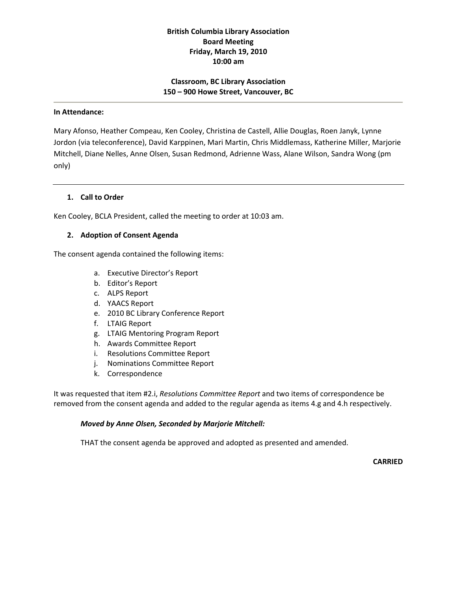## **British Columbia Library Association Board Meeting Friday, March 19, 2010 10:00 am**

## **Classroom, BC Library Association 150 – 900 Howe Street, Vancouver, BC**

#### **In Attendance:**

Mary Afonso, Heather Compeau, Ken Cooley, Christina de Castell, Allie Douglas, Roen Janyk, Lynne Jordon (via teleconference), David Karppinen, Mari Martin, Chris Middlemass, Katherine Miller, Marjorie Mitchell, Diane Nelles, Anne Olsen, Susan Redmond, Adrienne Wass, Alane Wilson, Sandra Wong (pm only)

## **1. Call to Order**

Ken Cooley, BCLA President, called the meeting to order at 10:03 am.

## **2. Adoption of Consent Agenda**

The consent agenda contained the following items:

- a. Executive Director's Report
- b. Editor's Report
- c. ALPS Report
- d. YAACS Report
- e. 2010 BC Library Conference Report
- f. LTAIG Report
- g. LTAIG Mentoring Program Report
- h. Awards Committee Report
- i. Resolutions Committee Report
- j. Nominations Committee Report
- k. Correspondence

It was requested that item #2.i, *Resolutions Committee Report* and two items of correspondence be removed from the consent agenda and added to the regular agenda as items 4.g and 4.h respectively.

## *Moved by Anne Olsen, Seconded by Marjorie Mitchell:*

THAT the consent agenda be approved and adopted as presented and amended.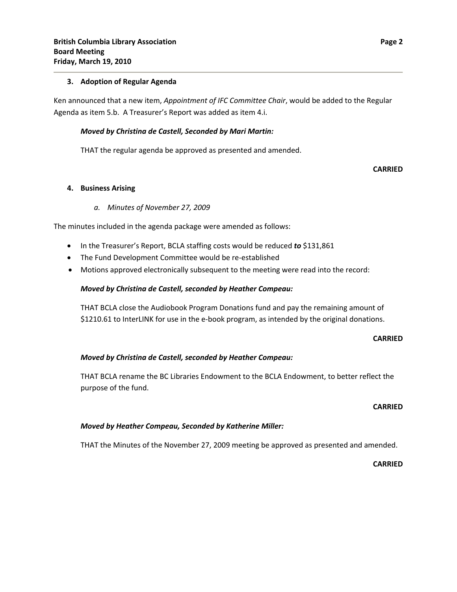#### **3. Adoption of Regular Agenda**

Ken announced that a new item, *Appointment of IFC Committee Chair*, would be added to the Regular Agenda as item 5.b. A Treasurer's Report was added as item 4.i.

### *Moved by Christina de Castell, Seconded by Mari Martin:*

THAT the regular agenda be approved as presented and amended.

### **CARRIED**

### **4. Business Arising**

### *a. Minutes of November 27, 2009*

The minutes included in the agenda package were amended as follows:

- In the Treasurer's Report, BCLA staffing costs would be reduced *to* \$131,861
- The Fund Development Committee would be re-established
- Motions approved electronically subsequent to the meeting were read into the record:

#### *Moved by Christina de Castell, seconded by Heather Compeau:*

THAT BCLA close the Audiobook Program Donations fund and pay the remaining amount of \$1210.61 to InterLINK for use in the e-book program, as intended by the original donations.

#### **CARRIED**

## *Moved by Christina de Castell, seconded by Heather Compeau:*

THAT BCLA rename the BC Libraries Endowment to the BCLA Endowment, to better reflect the purpose of the fund.

#### **CARRIED**

#### *Moved by Heather Compeau, Seconded by Katherine Miller:*

THAT the Minutes of the November 27, 2009 meeting be approved as presented and amended.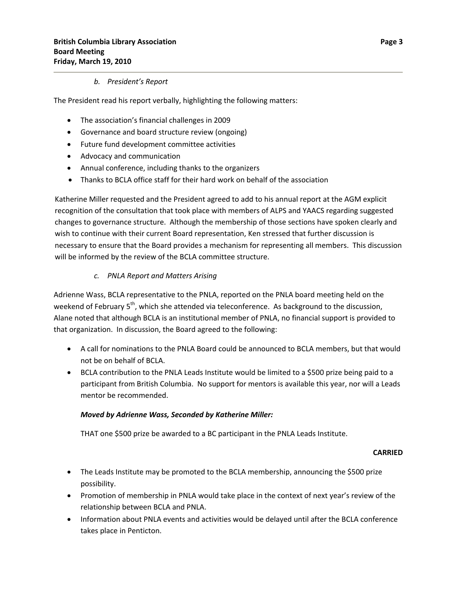## *b. President's Report*

The President read his report verbally, highlighting the following matters:

- The association's financial challenges in 2009
- Governance and board structure review (ongoing)
- Future fund development committee activities
- Advocacy and communication
- Annual conference, including thanks to the organizers
- Thanks to BCLA office staff for their hard work on behalf of the association

Katherine Miller requested and the President agreed to add to his annual report at the AGM explicit recognition of the consultation that took place with members of ALPS and YAACS regarding suggested changes to governance structure. Although the membership of those sections have spoken clearly and wish to continue with their current Board representation, Ken stressed that further discussion is necessary to ensure that the Board provides a mechanism for representing all members. This discussion will be informed by the review of the BCLA committee structure.

## *c. PNLA Report and Matters Arising*

Adrienne Wass, BCLA representative to the PNLA, reported on the PNLA board meeting held on the weekend of February 5<sup>th</sup>, which she attended via teleconference. As background to the discussion, Alane noted that although BCLA is an institutional member of PNLA, no financial support is provided to that organization. In discussion, the Board agreed to the following:

- A call for nominations to the PNLA Board could be announced to BCLA members, but that would not be on behalf of BCLA.
- BCLA contribution to the PNLA Leads Institute would be limited to a \$500 prize being paid to a participant from British Columbia. No support for mentors is available this year, nor will a Leads mentor be recommended.

## *Moved by Adrienne Wass, Seconded by Katherine Miller:*

THAT one \$500 prize be awarded to a BC participant in the PNLA Leads Institute.

- The Leads Institute may be promoted to the BCLA membership, announcing the \$500 prize possibility.
- Promotion of membership in PNLA would take place in the context of next year's review of the relationship between BCLA and PNLA.
- Information about PNLA events and activities would be delayed until after the BCLA conference takes place in Penticton.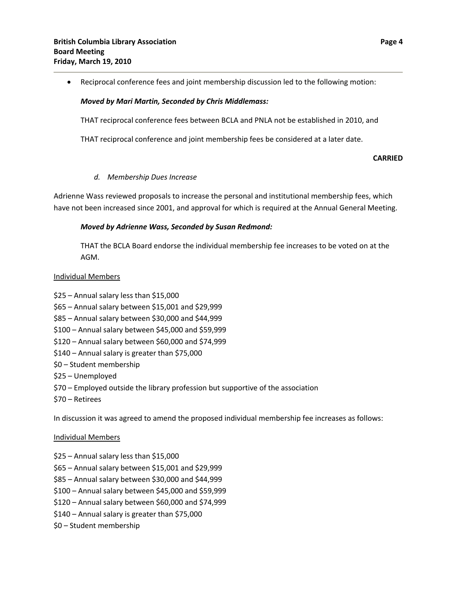Reciprocal conference fees and joint membership discussion led to the following motion:

### *Moved by Mari Martin, Seconded by Chris Middlemass:*

THAT reciprocal conference fees between BCLA and PNLA not be established in 2010, and

THAT reciprocal conference and joint membership fees be considered at a later date.

### **CARRIED**

### *d. Membership Dues Increase*

Adrienne Wass reviewed proposals to increase the personal and institutional membership fees, which have not been increased since 2001, and approval for which is required at the Annual General Meeting.

## *Moved by Adrienne Wass, Seconded by Susan Redmond:*

THAT the BCLA Board endorse the individual membership fee increases to be voted on at the AGM.

### Individual Members

- \$25 Annual salary less than \$15,000
- \$65 Annual salary between \$15,001 and \$29,999
- \$85 Annual salary between \$30,000 and \$44,999
- \$100 Annual salary between \$45,000 and \$59,999
- \$120 Annual salary between \$60,000 and \$74,999
- \$140 Annual salary is greater than \$75,000
- \$0 Student membership
- \$25 Unemployed
- \$70 Employed outside the library profession but supportive of the association
- \$70 Retirees

In discussion it was agreed to amend the proposed individual membership fee increases as follows:

## Individual Members

- \$25 Annual salary less than \$15,000
- \$65 Annual salary between \$15,001 and \$29,999
- \$85 Annual salary between \$30,000 and \$44,999
- \$100 Annual salary between \$45,000 and \$59,999
- \$120 Annual salary between \$60,000 and \$74,999
- \$140 Annual salary is greater than \$75,000
- \$0 Student membership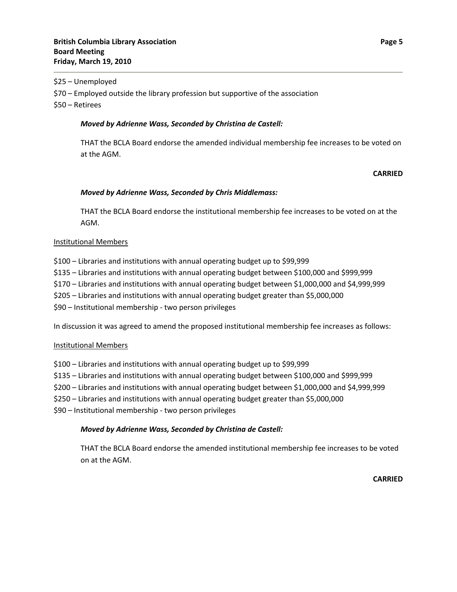#### \$25 – Unemployed

\$70 – Employed outside the library profession but supportive of the association

\$50 – Retirees

## *Moved by Adrienne Wass, Seconded by Christina de Castell:*

THAT the BCLA Board endorse the amended individual membership fee increases to be voted on at the AGM.

## **CARRIED**

## *Moved by Adrienne Wass, Seconded by Chris Middlemass:*

THAT the BCLA Board endorse the institutional membership fee increases to be voted on at the AGM.

## Institutional Members

- \$100 Libraries and institutions with annual operating budget up to \$99,999
- \$135 Libraries and institutions with annual operating budget between \$100,000 and \$999,999
- \$170 Libraries and institutions with annual operating budget between \$1,000,000 and \$4,999,999
- \$205 Libraries and institutions with annual operating budget greater than \$5,000,000
- \$90 Institutional membership ‐ two person privileges

In discussion it was agreed to amend the proposed institutional membership fee increases as follows:

## Institutional Members

- \$100 Libraries and institutions with annual operating budget up to \$99,999
- \$135 Libraries and institutions with annual operating budget between \$100,000 and \$999,999
- \$200 Libraries and institutions with annual operating budget between \$1,000,000 and \$4,999,999
- \$250 Libraries and institutions with annual operating budget greater than \$5,000,000
- \$90 Institutional membership ‐ two person privileges

## *Moved by Adrienne Wass, Seconded by Christina de Castell:*

THAT the BCLA Board endorse the amended institutional membership fee increases to be voted on at the AGM.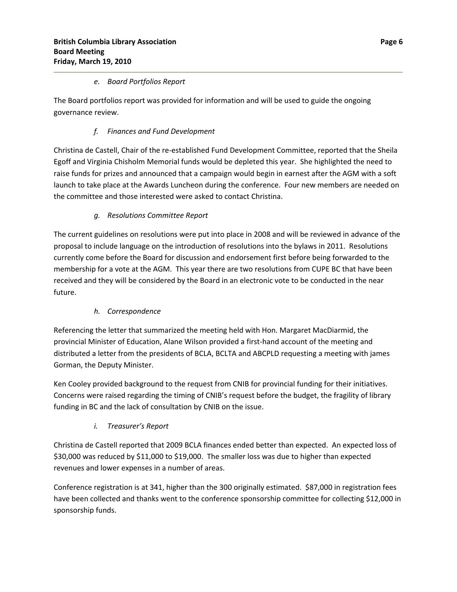## *e. Board Portfolios Report*

The Board portfolios report was provided for information and will be used to guide the ongoing governance review.

## *f. Finances and Fund Development*

Christina de Castell, Chair of the re‐established Fund Development Committee, reported that the Sheila Egoff and Virginia Chisholm Memorial funds would be depleted this year. She highlighted the need to raise funds for prizes and announced that a campaign would begin in earnest after the AGM with a soft launch to take place at the Awards Luncheon during the conference. Four new members are needed on the committee and those interested were asked to contact Christina.

## *g. Resolutions Committee Report*

The current guidelines on resolutions were put into place in 2008 and will be reviewed in advance of the proposal to include language on the introduction of resolutions into the bylaws in 2011. Resolutions currently come before the Board for discussion and endorsement first before being forwarded to the membership for a vote at the AGM. This year there are two resolutions from CUPE BC that have been received and they will be considered by the Board in an electronic vote to be conducted in the near future.

## *h. Correspondence*

Referencing the letter that summarized the meeting held with Hon. Margaret MacDiarmid, the provincial Minister of Education, Alane Wilson provided a first-hand account of the meeting and distributed a letter from the presidents of BCLA, BCLTA and ABCPLD requesting a meeting with james Gorman, the Deputy Minister.

Ken Cooley provided background to the request from CNIB for provincial funding for their initiatives. Concerns were raised regarding the timing of CNIB's request before the budget, the fragility of library funding in BC and the lack of consultation by CNIB on the issue.

# *i. Treasurer's Report*

Christina de Castell reported that 2009 BCLA finances ended better than expected. An expected loss of \$30,000 was reduced by \$11,000 to \$19,000. The smaller loss was due to higher than expected revenues and lower expenses in a number of areas.

Conference registration is at 341, higher than the 300 originally estimated. \$87,000 in registration fees have been collected and thanks went to the conference sponsorship committee for collecting \$12,000 in sponsorship funds.